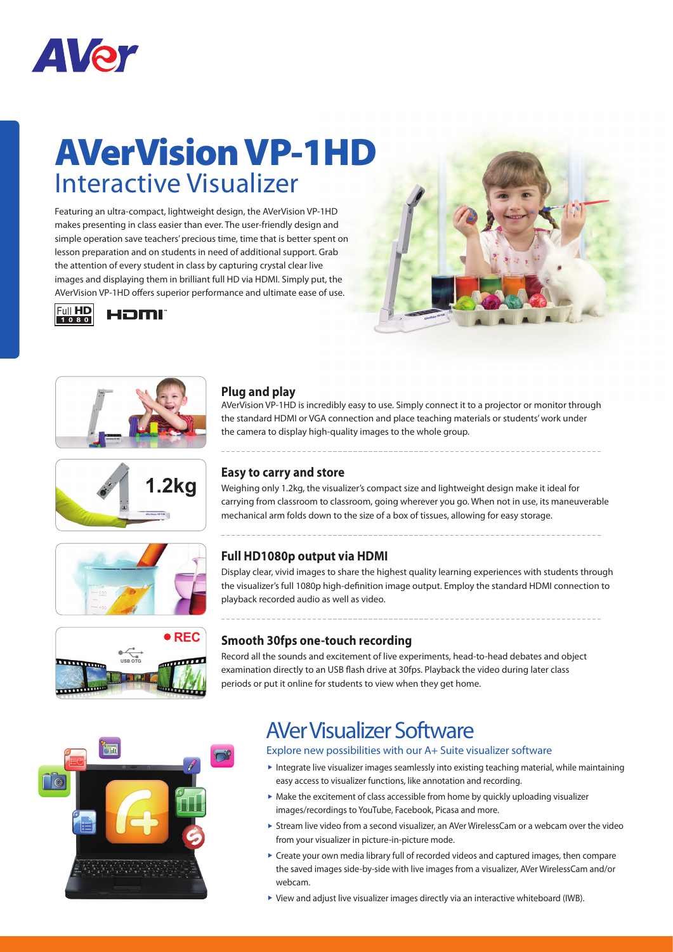

## AVerVision VP-1HD Interactive Visualizer

Featuring an ultra-compact, lightweight design, the AVerVision VP-1HD makes presenting in class easier than ever. The user-friendly design and simple operation save teachers' precious time, time that is better spent on lesson preparation and on students in need of additional support. Grab the attention of every student in class by capturing crystal clear live images and displaying them in brilliant full HD via HDMI. Simply put, the AVerVision VP-1HD offers superior performance and ultimate ease of use.













#### **Plug and play**

AVerVision VP-1HD is incredibly easy to use. Simply connect it to a projector or monitor through the standard HDMI or VGA connection and place teaching materials or students' work under the camera to display high-quality images to the whole group.

#### **Easy to carry and store**

Weighing only 1.2kg, the visualizer's compact size and lightweight design make it ideal for carrying from classroom to classroom, going wherever you go. When not in use, its maneuverable mechanical arm folds down to the size of a box of tissues, allowing for easy storage.

#### **Full HD1080p output via HDMI**

Display clear, vivid images to share the highest quality learning experiences with students through the visualizer's full 1080p high-definition image output. Employ the standard HDMI connection to playback recorded audio as well as video.

#### **Smooth 30fps one-touch recording**

Record all the sounds and excitement of live experiments, head-to-head debates and object examination directly to an USB flash drive at 30fps. Playback the video during later class periods or put it online for students to view when they get home.



### AVer Visualizer Software

Explore new possibilities with our A+ Suite visualizer software

- Integrate live visualizer images seamlessly into existing teaching material, while maintaining easy access to visualizer functions, like annotation and recording.
- $\triangleright$  Make the excitement of class accessible from home by quickly uploading visualizer images/recordings to YouTube, Facebook, Picasa and more.
- Stream live video from a second visualizer, an AVer WirelessCam or a webcam over the video from your visualizer in picture-in-picture mode.
- Create your own media library full of recorded videos and captured images, then compare the saved images side-by-side with live images from a visualizer, AVer WirelessCam and/or webcam.
- View and adjust live visualizer images directly via an interactive whiteboard (IWB).